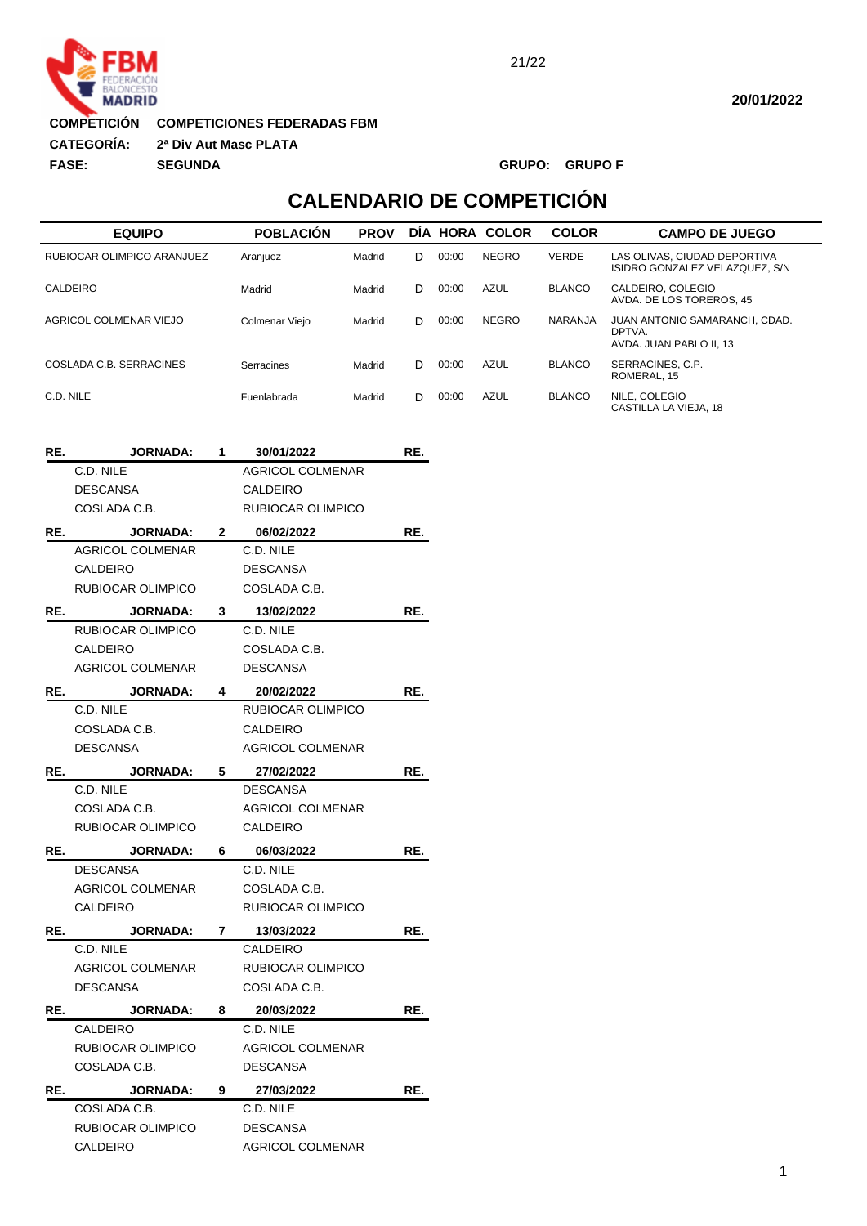

**COMPETICIONES FEDERADAS FBM COMPETICIÓN**

**2ª Div Aut Masc PLATA :CATEGORÍA:**

**FASE: SEGUNDA GRUPO: GRUPO F**

# **CALENDARIO DE COMPETICIÓN**

| <b>EQUIPO</b>              |                         |                 | <b>POBLACIÓN</b>        | <b>PROV</b> |       |             | <b>DIA HORA COLOR</b> | <b>COLOR</b>                                  | <b>CAMPO DE JUEGO</b>                                              |
|----------------------------|-------------------------|-----------------|-------------------------|-------------|-------|-------------|-----------------------|-----------------------------------------------|--------------------------------------------------------------------|
| RUBIOCAR OLIMPICO ARANJUEZ |                         |                 | Aranjuez                | Madrid      | D     | 00:00       | <b>NEGRO</b>          | <b>VERDE</b>                                  | LAS OLIVAS, CIUDAD DEPORTIVA<br>ISIDRO GONZALEZ VELAZQUEZ, S/N     |
| CALDEIRO                   |                         | Madrid          | Madrid                  | D           | 00:00 | <b>AZUL</b> | <b>BLANCO</b>         | CALDEIRO, COLEGIO<br>AVDA. DE LOS TOREROS, 45 |                                                                    |
| AGRICOL COLMENAR VIEJO     |                         |                 | Colmenar Viejo          | Madrid      | D     | 00:00       | <b>NEGRO</b>          | NARANJA                                       | JUAN ANTONIO SAMARANCH, CDAD.<br>DPTVA.<br>AVDA. JUAN PABLO II, 13 |
|                            | COSLADA C.B. SERRACINES |                 | Serracines              | Madrid      | D     | 00:00       | <b>AZUL</b>           | <b>BLANCO</b>                                 | SERRACINES, C.P.<br>ROMERAL, 15                                    |
| C.D. NILE                  |                         |                 | Fuenlabrada             | Madrid      | D     | 00:00       | <b>AZUL</b>           | <b>BLANCO</b>                                 | NILE. COLEGIO<br>CASTILLA LA VIEJA, 18                             |
| RE.                        | <b>JORNADA:</b>         | 1               | 30/01/2022              |             | RE.   |             |                       |                                               |                                                                    |
|                            | C.D. NILE               |                 | <b>AGRICOL COLMENAR</b> |             |       |             |                       |                                               |                                                                    |
|                            | <b>DESCANSA</b>         |                 | <b>CALDEIRO</b>         |             |       |             |                       |                                               |                                                                    |
|                            | COSLADA C.B.            |                 | RUBIOCAR OLIMPICO       |             |       |             |                       |                                               |                                                                    |
| RE.                        | <b>JORNADA:</b>         | $\mathbf{2}$    | 06/02/2022              |             | RE.   |             |                       |                                               |                                                                    |
|                            | <b>AGRICOL COLMENAR</b> |                 | C.D. NILE               |             |       |             |                       |                                               |                                                                    |
|                            | <b>CALDEIRO</b>         |                 | <b>DESCANSA</b>         |             |       |             |                       |                                               |                                                                    |
|                            | RUBIOCAR OLIMPICO       |                 | COSLADA C.B.            |             |       |             |                       |                                               |                                                                    |
| RE.                        | <b>JORNADA:</b>         | $\mathbf{3}$    | 13/02/2022              |             | RE.   |             |                       |                                               |                                                                    |
|                            | RUBIOCAR OLIMPICO       |                 | C.D. NILE               |             |       |             |                       |                                               |                                                                    |
|                            | <b>CALDEIRO</b>         |                 | COSLADA C.B.            |             |       |             |                       |                                               |                                                                    |
|                            | <b>AGRICOL COLMENAR</b> |                 | <b>DESCANSA</b>         |             |       |             |                       |                                               |                                                                    |
| RE.                        | <b>JORNADA:</b>         | 4               | 20/02/2022              |             | RE.   |             |                       |                                               |                                                                    |
|                            | C.D. NILE               |                 | RUBIOCAR OLIMPICO       |             |       |             |                       |                                               |                                                                    |
|                            | COSLADA C.B.            |                 | <b>CALDEIRO</b>         |             |       |             |                       |                                               |                                                                    |
|                            | <b>DESCANSA</b>         |                 | <b>AGRICOL COLMENAR</b> |             |       |             |                       |                                               |                                                                    |
| RE.                        | <b>JORNADA:</b>         | 5               | 27/02/2022              |             | RE.   |             |                       |                                               |                                                                    |
|                            | C.D. NILE               |                 | <b>DESCANSA</b>         |             |       |             |                       |                                               |                                                                    |
|                            | COSLADA C.B.            |                 | <b>AGRICOL COLMENAR</b> |             |       |             |                       |                                               |                                                                    |
|                            | RUBIOCAR OLIMPICO       |                 | CALDEIRO                |             |       |             |                       |                                               |                                                                    |
| RE.                        | <b>JORNADA:</b>         | 6               | 06/03/2022              |             | RE.   |             |                       |                                               |                                                                    |
|                            | <b>DESCANSA</b>         |                 | C.D. NILE               |             |       |             |                       |                                               |                                                                    |
|                            | <b>AGRICOL COLMENAR</b> |                 | COSLADA C.B.            |             |       |             |                       |                                               |                                                                    |
|                            | CALDEIRO                |                 | RUBIOCAR OLIMPICO       |             |       |             |                       |                                               |                                                                    |
| RE.                        | <b>JORNADA:</b>         | $7\phantom{.0}$ | 13/03/2022              |             | RE.   |             |                       |                                               |                                                                    |
|                            | C.D. NILE               |                 | CALDEIRO                |             |       |             |                       |                                               |                                                                    |
|                            | <b>AGRICOL COLMENAR</b> |                 | RUBIOCAR OLIMPICO       |             |       |             |                       |                                               |                                                                    |
|                            | DESCANSA                |                 | COSLADA C.B.            |             |       |             |                       |                                               |                                                                    |
| RE.                        | <b>JORNADA:</b>         | 8               | 20/03/2022              |             | RE.   |             |                       |                                               |                                                                    |
|                            | CALDEIRO                |                 | C.D. NILE               |             |       |             |                       |                                               |                                                                    |
|                            | RUBIOCAR OLIMPICO       |                 | <b>AGRICOL COLMENAR</b> |             |       |             |                       |                                               |                                                                    |
|                            | COSLADA C.B.            |                 | DESCANSA                |             |       |             |                       |                                               |                                                                    |
| RE.                        | <b>JORNADA:</b>         | 9               | 27/03/2022              |             | RE.   |             |                       |                                               |                                                                    |
|                            | COSLADA C.B.            |                 | C.D. NILE               |             |       |             |                       |                                               |                                                                    |
|                            | RUBIOCAR OLIMPICO       |                 | <b>DESCANSA</b>         |             |       |             |                       |                                               |                                                                    |
|                            | CALDEIRO                |                 | AGRICOL COLMENAR        |             |       |             |                       |                                               |                                                                    |
|                            |                         |                 |                         |             |       |             |                       |                                               |                                                                    |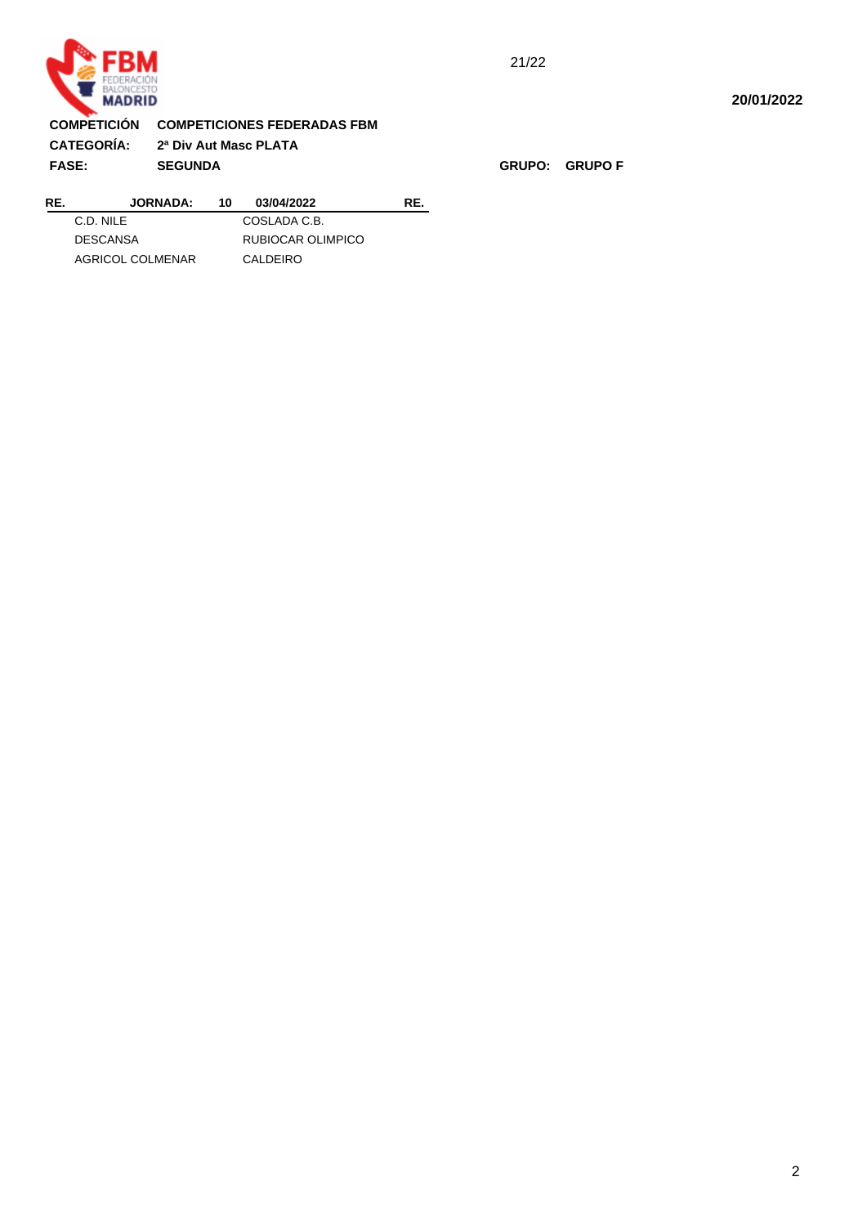

#### 21/22

#### **20/01/2022**

## **15:43:31 COMPETICIÓN COMPETICIONES FEDERADAS FBM**

**:CATEGORÍA: 2ª Div Aut Masc PLATA FASE: SEGUNDA GRUPO: GRUPO F**

| RE. | <b>JORNADA:</b>  | 10 | 03/04/2022        | RF. |
|-----|------------------|----|-------------------|-----|
|     | C.D. NII F       |    | COSLADA C.B.      |     |
|     | <b>DESCANSA</b>  |    | RUBIOCAR OLIMPICO |     |
|     | AGRICOL COLMENAR |    | CALDEIRO          |     |